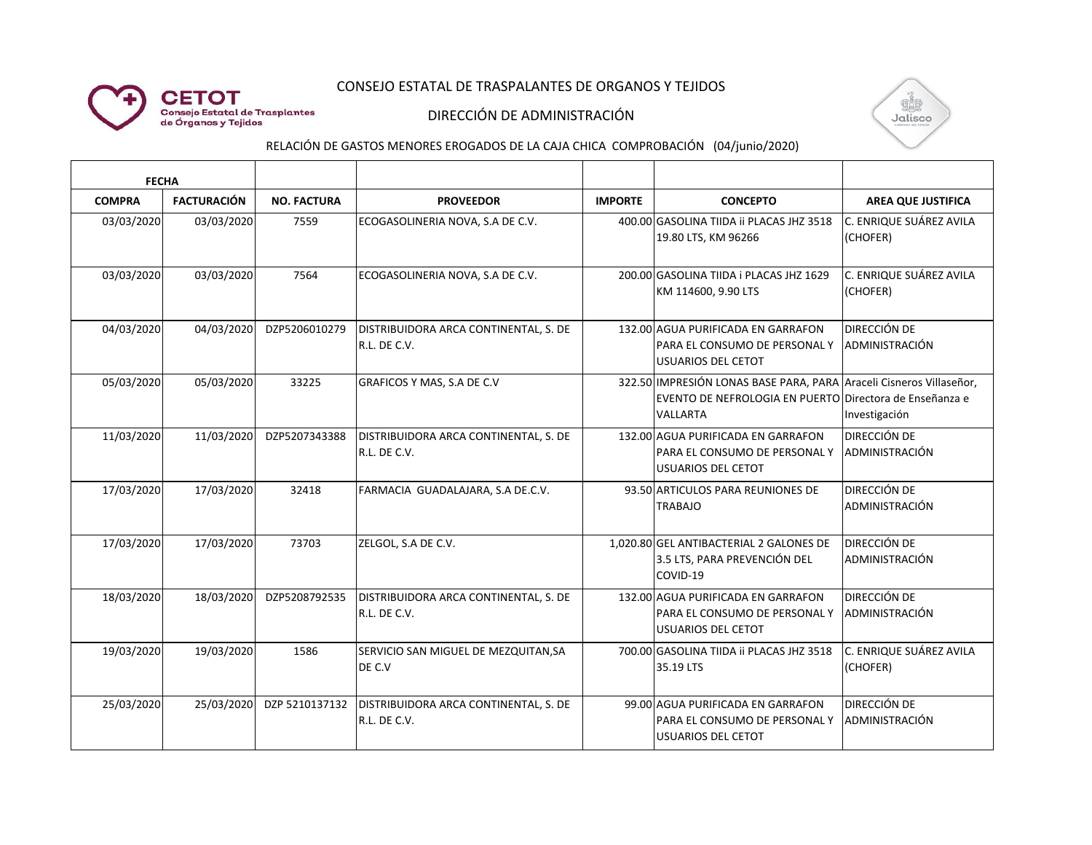### CONSEJO ESTATAL DE TRASPALANTES DE ORGANOS Y TEJIDOS



## DIRECCIÓN DE ADMINISTRACIÓN



# RELACIÓN DE GASTOS MENORES EROGADOS DE LA CAJA CHICA COMPROBACIÓN (04/junio/2020)

| <b>FECHA</b>  |                    |                    |                                                       |                |                                                                                                                                            |                                       |
|---------------|--------------------|--------------------|-------------------------------------------------------|----------------|--------------------------------------------------------------------------------------------------------------------------------------------|---------------------------------------|
| <b>COMPRA</b> | <b>FACTURACIÓN</b> | <b>NO. FACTURA</b> | <b>PROVEEDOR</b>                                      | <b>IMPORTE</b> | <b>CONCEPTO</b>                                                                                                                            | <b>AREA QUE JUSTIFICA</b>             |
| 03/03/2020    | 03/03/2020         | 7559               | ECOGASOLINERIA NOVA, S.A DE C.V.                      |                | 400.00 GASOLINA TIIDA II PLACAS JHZ 3518<br>19.80 LTS, KM 96266                                                                            | C. ENRIQUE SUÁREZ AVILA<br>(CHOFER)   |
| 03/03/2020    | 03/03/2020         | 7564               | ECOGASOLINERIA NOVA, S.A DE C.V.                      |                | 200.00 GASOLINA TIIDA i PLACAS JHZ 1629<br>KM 114600, 9.90 LTS                                                                             | C. ENRIQUE SUÁREZ AVILA<br>(CHOFER)   |
| 04/03/2020    | 04/03/2020         | DZP5206010279      | DISTRIBUIDORA ARCA CONTINENTAL, S. DE<br>R.L. DE C.V. |                | 132.00 AGUA PURIFICADA EN GARRAFON<br>PARA EL CONSUMO DE PERSONAL Y<br><b>USUARIOS DEL CETOT</b>                                           | <b>DIRECCIÓN DE</b><br>ADMINISTRACIÓN |
| 05/03/2020    | 05/03/2020         | 33225              | GRAFICOS Y MAS, S.A DE C.V                            |                | 322.50 IMPRESIÓN LONAS BASE PARA, PARA Araceli Cisneros Villaseñor,<br>EVENTO DE NEFROLOGIA EN PUERTO Directora de Enseñanza e<br>VALLARTA | Investigación                         |
| 11/03/2020    | 11/03/2020         | DZP5207343388      | DISTRIBUIDORA ARCA CONTINENTAL, S. DE<br>R.L. DE C.V. |                | 132.00 AGUA PURIFICADA EN GARRAFON<br>PARA EL CONSUMO DE PERSONAL Y<br><b>USUARIOS DEL CETOT</b>                                           | <b>DIRECCIÓN DE</b><br>ADMINISTRACIÓN |
| 17/03/2020    | 17/03/2020         | 32418              | FARMACIA GUADALAJARA, S.A DE.C.V.                     |                | 93.50 ARTICULOS PARA REUNIONES DE<br><b>TRABAJO</b>                                                                                        | <b>DIRECCIÓN DE</b><br>ADMINISTRACIÓN |
| 17/03/2020    | 17/03/2020         | 73703              | ZELGOL, S.A DE C.V.                                   |                | 1,020.80 GEL ANTIBACTERIAL 2 GALONES DE<br>3.5 LTS, PARA PREVENCIÓN DEL<br>COVID-19                                                        | <b>DIRECCIÓN DE</b><br>ADMINISTRACIÓN |
| 18/03/2020    | 18/03/2020         | DZP5208792535      | DISTRIBUIDORA ARCA CONTINENTAL, S. DE<br>R.L. DE C.V. |                | 132.00 AGUA PURIFICADA EN GARRAFON<br>PARA EL CONSUMO DE PERSONAL Y<br><b>USUARIOS DEL CETOT</b>                                           | DIRECCIÓN DE<br>ADMINISTRACIÓN        |
| 19/03/2020    | 19/03/2020         | 1586               | SERVICIO SAN MIGUEL DE MEZQUITAN, SA<br>DE C.V        |                | 700.00 GASOLINA TIIDA ii PLACAS JHZ 3518<br>35.19 LTS                                                                                      | C. ENRIQUE SUÁREZ AVILA<br>(CHOFER)   |
| 25/03/2020    | 25/03/2020         | DZP 5210137132     | DISTRIBUIDORA ARCA CONTINENTAL, S. DE<br>R.L. DE C.V. |                | 99.00 AGUA PURIFICADA EN GARRAFON<br>PARA EL CONSUMO DE PERSONAL Y<br><b>USUARIOS DEL CETOT</b>                                            | <b>DIRECCIÓN DE</b><br>ADMINISTRACIÓN |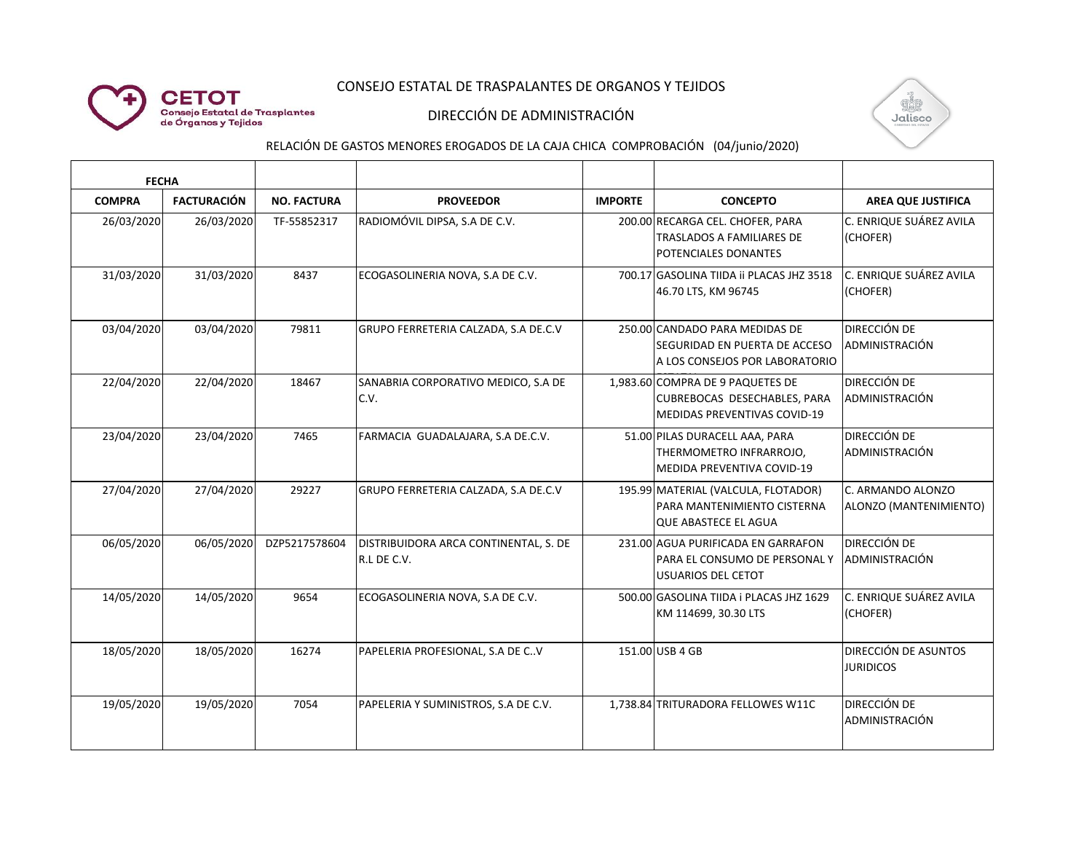### CONSEJO ESTATAL DE TRASPALANTES DE ORGANOS Y TEJIDOS



## DIRECCIÓN DE ADMINISTRACIÓN



# RELACIÓN DE GASTOS MENORES EROGADOS DE LA CAJA CHICA COMPROBACIÓN (04/junio/2020)

| <b>FECHA</b>  |                    |                    |                                                      |                |                                                                                                         |                                                 |
|---------------|--------------------|--------------------|------------------------------------------------------|----------------|---------------------------------------------------------------------------------------------------------|-------------------------------------------------|
| <b>COMPRA</b> | <b>FACTURACIÓN</b> | <b>NO. FACTURA</b> | <b>PROVEEDOR</b>                                     | <b>IMPORTE</b> | <b>CONCEPTO</b>                                                                                         | <b>AREA QUE JUSTIFICA</b>                       |
| 26/03/2020    | 26/03/2020         | TF-55852317        | RADIOMÓVIL DIPSA, S.A DE C.V.                        |                | 200.00 RECARGA CEL. CHOFER, PARA<br><b>TRASLADOS A FAMILIARES DE</b><br><b>POTENCIALES DONANTES</b>     | lC. ENRIQUE SUÁREZ AVILA<br>(CHOFER)            |
| 31/03/2020    | 31/03/2020         | 8437               | ECOGASOLINERIA NOVA, S.A DE C.V.                     |                | 700.17 GASOLINA TIIDA II PLACAS JHZ 3518<br>46.70 LTS, KM 96745                                         | C. ENRIQUE SUÁREZ AVILA<br>(CHOFER)             |
| 03/04/2020    | 03/04/2020         | 79811              | GRUPO FERRETERIA CALZADA, S.A DE.C.V                 |                | 250.00 CANDADO PARA MEDIDAS DE<br>SEGURIDAD EN PUERTA DE ACCESO<br>A LOS CONSEJOS POR LABORATORIO       | <b>DIRECCIÓN DE</b><br>ADMINISTRACIÓN           |
| 22/04/2020    | 22/04/2020         | 18467              | SANABRIA CORPORATIVO MEDICO, S.A DE<br>C.V.          |                | 1.983.60 COMPRA DE 9 PAQUETES DE<br>CUBREBOCAS DESECHABLES, PARA<br><b>MEDIDAS PREVENTIVAS COVID-19</b> | <b>DIRECCIÓN DE</b><br>ADMINISTRACIÓN           |
| 23/04/2020    | 23/04/2020         | 7465               | FARMACIA GUADALAJARA, S.A DE.C.V.                    |                | 51.00 PILAS DURACELL AAA, PARA<br>THERMOMETRO INFRARROJO,<br><b>MEDIDA PREVENTIVA COVID-19</b>          | <b>DIRECCIÓN DE</b><br>ADMINISTRACIÓN           |
| 27/04/2020    | 27/04/2020         | 29227              | GRUPO FERRETERIA CALZADA, S.A DE.C.V                 |                | 195.99 MATERIAL (VALCULA, FLOTADOR)<br>PARA MANTENIMIENTO CISTERNA<br><b>QUE ABASTECE EL AGUA</b>       | C. ARMANDO ALONZO<br>ALONZO (MANTENIMIENTO)     |
| 06/05/2020    | 06/05/2020         | DZP5217578604      | DISTRIBUIDORA ARCA CONTINENTAL, S. DE<br>R.L DE C.V. |                | 231.00 AGUA PURIFICADA EN GARRAFON<br>PARA EL CONSUMO DE PERSONAL Y<br>USUARIOS DEL CETOT               | <b>DIRECCIÓN DE</b><br>ADMINISTRACIÓN           |
| 14/05/2020    | 14/05/2020         | 9654               | ECOGASOLINERIA NOVA, S.A DE C.V.                     |                | 500.00 GASOLINA TIIDA i PLACAS JHZ 1629<br>KM 114699, 30.30 LTS                                         | C. ENRIQUE SUÁREZ AVILA<br>(CHOFER)             |
| 18/05/2020    | 18/05/2020         | 16274              | PAPELERIA PROFESIONAL, S.A DE C.V                    |                | 151.00 USB 4 GB                                                                                         | <b>DIRECCIÓN DE ASUNTOS</b><br><b>JURIDICOS</b> |
| 19/05/2020    | 19/05/2020         | 7054               | PAPELERIA Y SUMINISTROS, S.A DE C.V.                 |                | 1,738.84 TRITURADORA FELLOWES W11C                                                                      | <b>DIRECCIÓN DE</b><br>ADMINISTRACIÓN           |